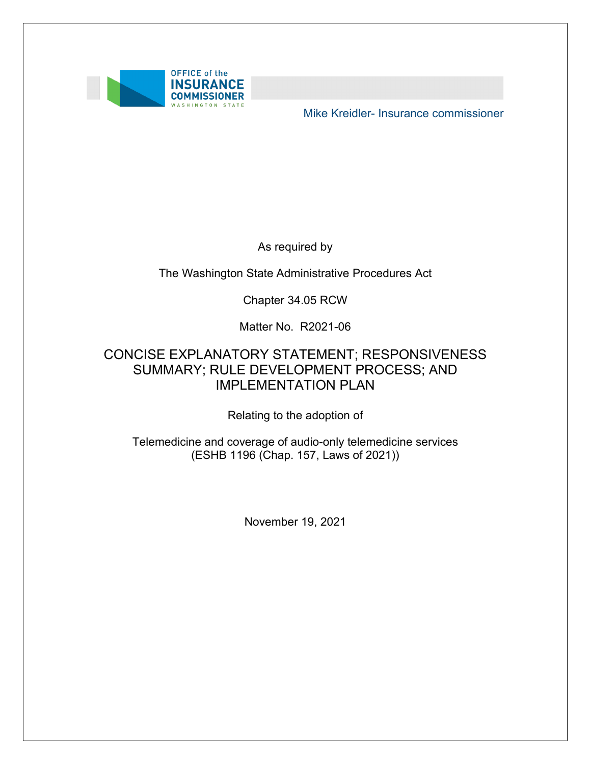

Mike Kreidler- Insurance commissioner

As required by

The Washington State Administrative Procedures Act

Chapter 34.05 RCW

Matter No. R2021-06

#### SUMMARY; RULE DEVELOPMENT PROCESS; AND CONCISE EXPLANATORY STATEMENT; RESPONSIVENESS IMPLEMENTATION PLAN

Relating to the adoption of

Telemedicine and coverage of audio-only telemedicine services (ESHB 1196 (Chap. 157, Laws of 2021))

November 19, 2021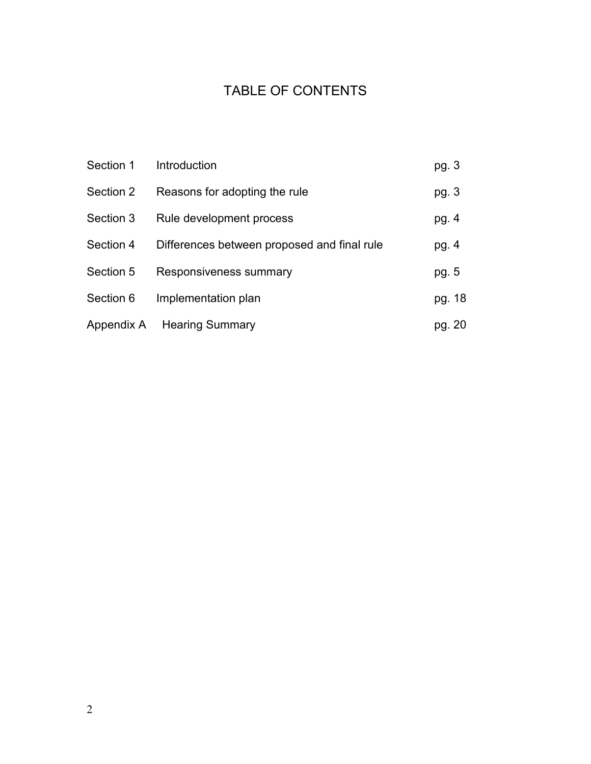# TABLE OF CONTENTS

| Section 1  | Introduction                                | pg. 3  |
|------------|---------------------------------------------|--------|
| Section 2  | Reasons for adopting the rule               | pg. 3  |
| Section 3  | Rule development process                    | pg. 4  |
| Section 4  | Differences between proposed and final rule | pg. 4  |
| Section 5  | Responsiveness summary                      | pg. 5  |
| Section 6  | Implementation plan                         | pg. 18 |
| Appendix A | <b>Hearing Summary</b>                      | pg. 20 |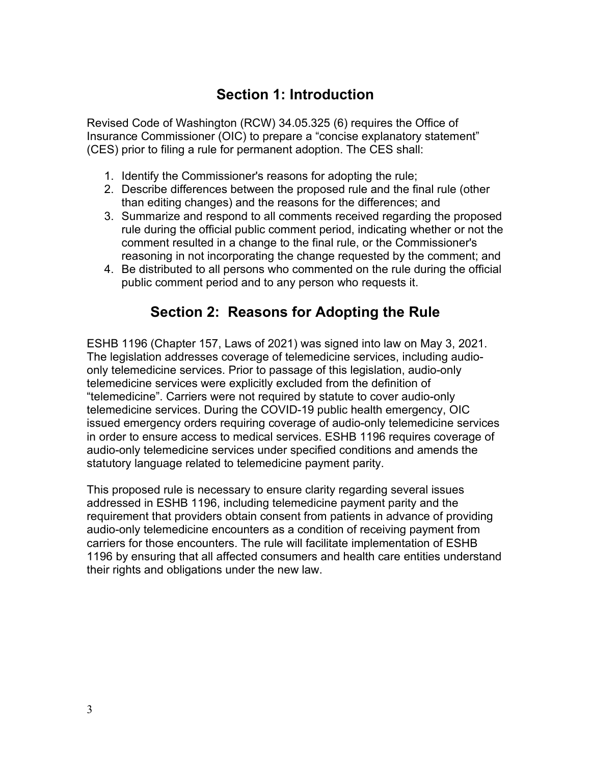## **Section 1: Introduction**

 (CES) prior to filing a rule for permanent adoption. The CES shall: Revised Code of Washington (RCW) 34.05.325 (6) requires the Office of Insurance Commissioner (OIC) to prepare a "concise explanatory statement"

- 1. Identify the Commissioner's reasons for adopting the rule;
- 2. Describe differences between the proposed rule and the final rule (other than editing changes) and the reasons for the differences; and
- 3. Summarize and respond to all comments received regarding the proposed rule during the official public comment period, indicating whether or not the comment resulted in a change to the final rule, or the Commissioner's reasoning in not incorporating the change requested by the comment; and
- 4. Be distributed to all persons who commented on the rule during the official public comment period and to any person who requests it.

## **Section 2: Reasons for Adopting the Rule**

 audio-only telemedicine services under specified conditions and amends the ESHB 1196 (Chapter 157, Laws of 2021) was signed into law on May 3, 2021. The legislation addresses coverage of telemedicine services, including audioonly telemedicine services. Prior to passage of this legislation, audio-only telemedicine services were explicitly excluded from the definition of "telemedicine". Carriers were not required by statute to cover audio-only telemedicine services. During the COVID-19 public health emergency, OIC issued emergency orders requiring coverage of audio-only telemedicine services in order to ensure access to medical services. ESHB 1196 requires coverage of statutory language related to telemedicine payment parity.

This proposed rule is necessary to ensure clarity regarding several issues addressed in ESHB 1196, including telemedicine payment parity and the requirement that providers obtain consent from patients in advance of providing audio-only telemedicine encounters as a condition of receiving payment from carriers for those encounters. The rule will facilitate implementation of ESHB 1196 by ensuring that all affected consumers and health care entities understand their rights and obligations under the new law.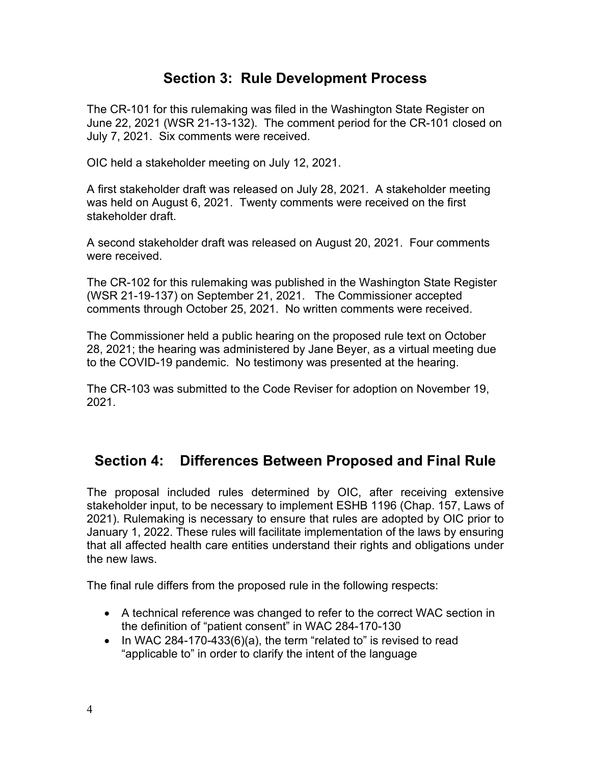## **Section 3: Rule Development Process**

 July 7, 2021. Six comments were received. The CR-101 for this rulemaking was filed in the Washington State Register on June 22, 2021 (WSR 21-13-132). The comment period for the CR-101 closed on

OIC held a stakeholder meeting on July 12, 2021.

 A first stakeholder draft was released on July 28, 2021. A stakeholder meeting was held on August 6, 2021. Twenty comments were received on the first stakeholder draft.

A second stakeholder draft was released on August 20, 2021. Four comments were received.

 (WSR 21-19-137) on September 21, 2021. The Commissioner accepted comments through October 25, 2021. No written comments were received. The CR-102 for this rulemaking was published in the Washington State Register

The Commissioner held a public hearing on the proposed rule text on October 28, 2021; the hearing was administered by Jane Beyer, as a virtual meeting due to the COVID-19 pandemic. No testimony was presented at the hearing.

 The CR-103 was submitted to the Code Reviser for adoption on November 19, 2021.

## **Section 4: Differences Between Proposed and Final Rule**

 stakeholder input, to be necessary to implement ESHB 1196 (Chap. 157, Laws of the new laws. The proposal included rules determined by OIC, after receiving extensive 2021). Rulemaking is necessary to ensure that rules are adopted by OIC prior to January 1, 2022. These rules will facilitate implementation of the laws by ensuring that all affected health care entities understand their rights and obligations under

The final rule differs from the proposed rule in the following respects:

- A technical reference was changed to refer to the correct WAC section in the definition of "patient consent" in WAC 284-170-130
- In WAC 284-170-433(6)(a), the term "related to" is revised to read "applicable to" in order to clarify the intent of the language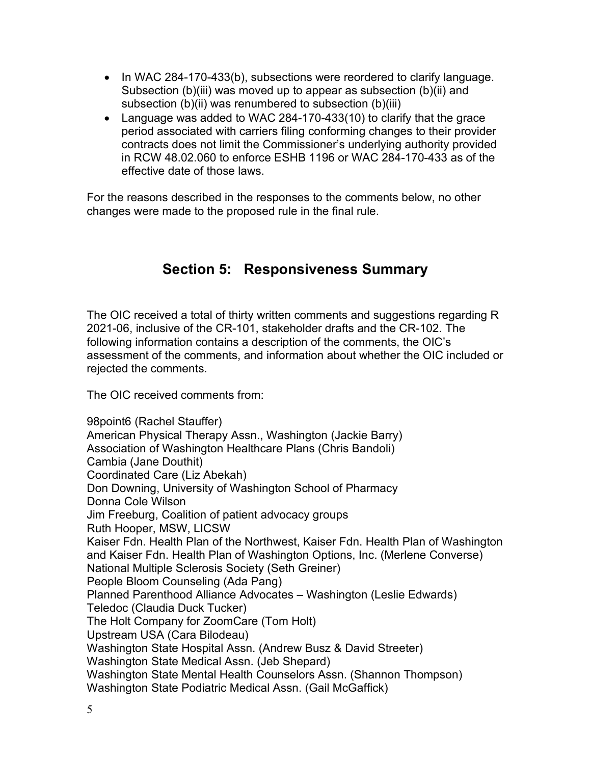- In WAC 284-170-433(b), subsections were reordered to clarify language. Subsection (b)(iii) was moved up to appear as subsection (b)(ii) and subsection (b)(ii) was renumbered to subsection (b)(iii)
- in RCW 48.02.060 to enforce ESHB 1196 or WAC 284-170-433 as of the • Language was added to WAC 284-170-433(10) to clarify that the grace period associated with carriers filing conforming changes to their provider contracts does not limit the Commissioner's underlying authority provided effective date of those laws.

For the reasons described in the responses to the comments below, no other changes were made to the proposed rule in the final rule.

## **Section 5: Responsiveness Summary**

 assessment of the comments, and information about whether the OIC included or rejected the comments. The OIC received a total of thirty written comments and suggestions regarding R 2021-06, inclusive of the CR-101, stakeholder drafts and the CR-102. The following information contains a description of the comments, the OIC's

The OIC received comments from:

 Jim Freeburg, Coalition of patient advocacy groups The Holt Company for ZoomCare (Tom Holt) 98point6 (Rachel Stauffer) American Physical Therapy Assn., Washington (Jackie Barry) Association of Washington Healthcare Plans (Chris Bandoli) Cambia (Jane Douthit) Coordinated Care (Liz Abekah) Don Downing, University of Washington School of Pharmacy Donna Cole Wilson Ruth Hooper, MSW, LICSW Kaiser Fdn. Health Plan of the Northwest, Kaiser Fdn. Health Plan of Washington and Kaiser Fdn. Health Plan of Washington Options, Inc. (Merlene Converse) National Multiple Sclerosis Society (Seth Greiner) People Bloom Counseling (Ada Pang) Planned Parenthood Alliance Advocates – Washington (Leslie Edwards) Teledoc (Claudia Duck Tucker) Upstream USA (Cara Bilodeau) Washington State Hospital Assn. (Andrew Busz & David Streeter) Washington State Medical Assn. (Jeb Shepard) Washington State Mental Health Counselors Assn. (Shannon Thompson) Washington State Podiatric Medical Assn. (Gail McGaffick)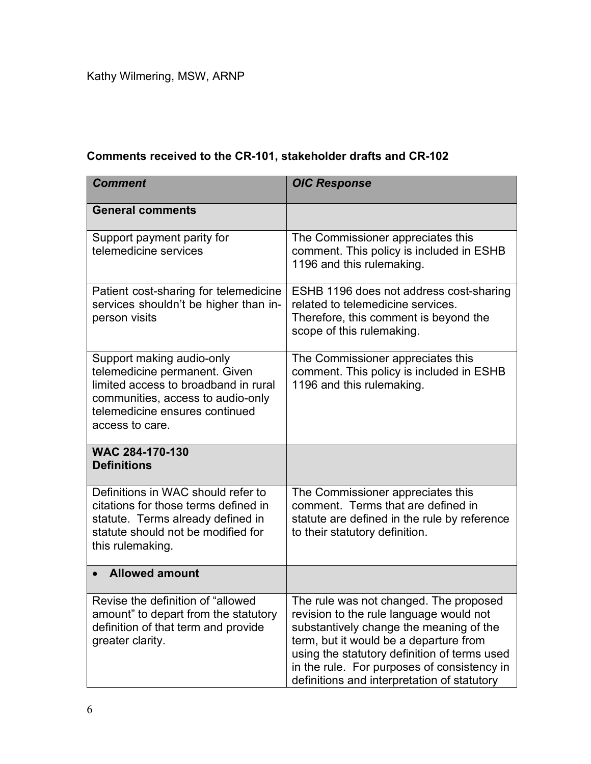#### **Comments received to the CR-101, stakeholder drafts and CR-102**

| <b>Comment</b>                                                                                                                                                                               | <b>OIC Response</b>                                                                                                                                                                                                                                                                                                  |
|----------------------------------------------------------------------------------------------------------------------------------------------------------------------------------------------|----------------------------------------------------------------------------------------------------------------------------------------------------------------------------------------------------------------------------------------------------------------------------------------------------------------------|
| <b>General comments</b>                                                                                                                                                                      |                                                                                                                                                                                                                                                                                                                      |
| Support payment parity for<br>telemedicine services                                                                                                                                          | The Commissioner appreciates this<br>comment. This policy is included in ESHB<br>1196 and this rulemaking.                                                                                                                                                                                                           |
| Patient cost-sharing for telemedicine<br>services shouldn't be higher than in-<br>person visits                                                                                              | ESHB 1196 does not address cost-sharing<br>related to telemedicine services.<br>Therefore, this comment is beyond the<br>scope of this rulemaking.                                                                                                                                                                   |
| Support making audio-only<br>telemedicine permanent. Given<br>limited access to broadband in rural<br>communities, access to audio-only<br>telemedicine ensures continued<br>access to care. | The Commissioner appreciates this<br>comment. This policy is included in ESHB<br>1196 and this rulemaking.                                                                                                                                                                                                           |
| <b>WAC 284-170-130</b><br><b>Definitions</b>                                                                                                                                                 |                                                                                                                                                                                                                                                                                                                      |
| Definitions in WAC should refer to<br>citations for those terms defined in<br>statute. Terms already defined in<br>statute should not be modified for<br>this rulemaking.                    | The Commissioner appreciates this<br>comment. Terms that are defined in<br>statute are defined in the rule by reference<br>to their statutory definition.                                                                                                                                                            |
| <b>Allowed amount</b>                                                                                                                                                                        |                                                                                                                                                                                                                                                                                                                      |
| Revise the definition of "allowed<br>amount" to depart from the statutory<br>definition of that term and provide<br>greater clarity.                                                         | The rule was not changed. The proposed<br>revision to the rule language would not<br>substantively change the meaning of the<br>term, but it would be a departure from<br>using the statutory definition of terms used<br>in the rule. For purposes of consistency in<br>definitions and interpretation of statutory |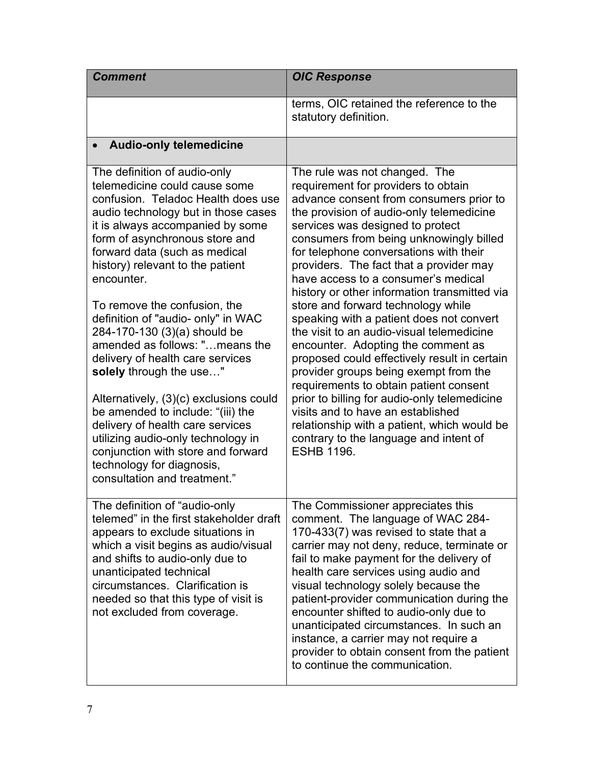| <b>Comment</b>                                                                                                                                                                                                                                                                                                                                                                                                                                                                                                                                                                                                                                                                                                                                                         | <b>OIC Response</b>                                                                                                                                                                                                                                                                                                                                                                                                                                                                                                                                                                                                                                                                                                                                                                                                                                                                                                               |
|------------------------------------------------------------------------------------------------------------------------------------------------------------------------------------------------------------------------------------------------------------------------------------------------------------------------------------------------------------------------------------------------------------------------------------------------------------------------------------------------------------------------------------------------------------------------------------------------------------------------------------------------------------------------------------------------------------------------------------------------------------------------|-----------------------------------------------------------------------------------------------------------------------------------------------------------------------------------------------------------------------------------------------------------------------------------------------------------------------------------------------------------------------------------------------------------------------------------------------------------------------------------------------------------------------------------------------------------------------------------------------------------------------------------------------------------------------------------------------------------------------------------------------------------------------------------------------------------------------------------------------------------------------------------------------------------------------------------|
|                                                                                                                                                                                                                                                                                                                                                                                                                                                                                                                                                                                                                                                                                                                                                                        | terms, OIC retained the reference to the<br>statutory definition.                                                                                                                                                                                                                                                                                                                                                                                                                                                                                                                                                                                                                                                                                                                                                                                                                                                                 |
| <b>Audio-only telemedicine</b>                                                                                                                                                                                                                                                                                                                                                                                                                                                                                                                                                                                                                                                                                                                                         |                                                                                                                                                                                                                                                                                                                                                                                                                                                                                                                                                                                                                                                                                                                                                                                                                                                                                                                                   |
| The definition of audio-only<br>telemedicine could cause some<br>confusion. Teladoc Health does use<br>audio technology but in those cases<br>it is always accompanied by some<br>form of asynchronous store and<br>forward data (such as medical<br>history) relevant to the patient<br>encounter.<br>To remove the confusion, the<br>definition of "audio- only" in WAC<br>284-170-130 (3)(a) should be<br>amended as follows: "means the<br>delivery of health care services<br>solely through the use"<br>Alternatively, (3)(c) exclusions could<br>be amended to include: "(iii) the<br>delivery of health care services<br>utilizing audio-only technology in<br>conjunction with store and forward<br>technology for diagnosis,<br>consultation and treatment." | The rule was not changed. The<br>requirement for providers to obtain<br>advance consent from consumers prior to<br>the provision of audio-only telemedicine<br>services was designed to protect<br>consumers from being unknowingly billed<br>for telephone conversations with their<br>providers. The fact that a provider may<br>have access to a consumer's medical<br>history or other information transmitted via<br>store and forward technology while<br>speaking with a patient does not convert<br>the visit to an audio-visual telemedicine<br>encounter. Adopting the comment as<br>proposed could effectively result in certain<br>provider groups being exempt from the<br>requirements to obtain patient consent<br>prior to billing for audio-only telemedicine<br>visits and to have an established<br>relationship with a patient, which would be<br>contrary to the language and intent of<br><b>ESHB 1196.</b> |
| The definition of "audio-only<br>telemed" in the first stakeholder draft<br>appears to exclude situations in<br>which a visit begins as audio/visual<br>and shifts to audio-only due to<br>unanticipated technical<br>circumstances. Clarification is<br>needed so that this type of visit is<br>not excluded from coverage.                                                                                                                                                                                                                                                                                                                                                                                                                                           | The Commissioner appreciates this<br>comment. The language of WAC 284-<br>170-433(7) was revised to state that a<br>carrier may not deny, reduce, terminate or<br>fail to make payment for the delivery of<br>health care services using audio and<br>visual technology solely because the<br>patient-provider communication during the<br>encounter shifted to audio-only due to<br>unanticipated circumstances. In such an<br>instance, a carrier may not require a<br>provider to obtain consent from the patient<br>to continue the communication.                                                                                                                                                                                                                                                                                                                                                                            |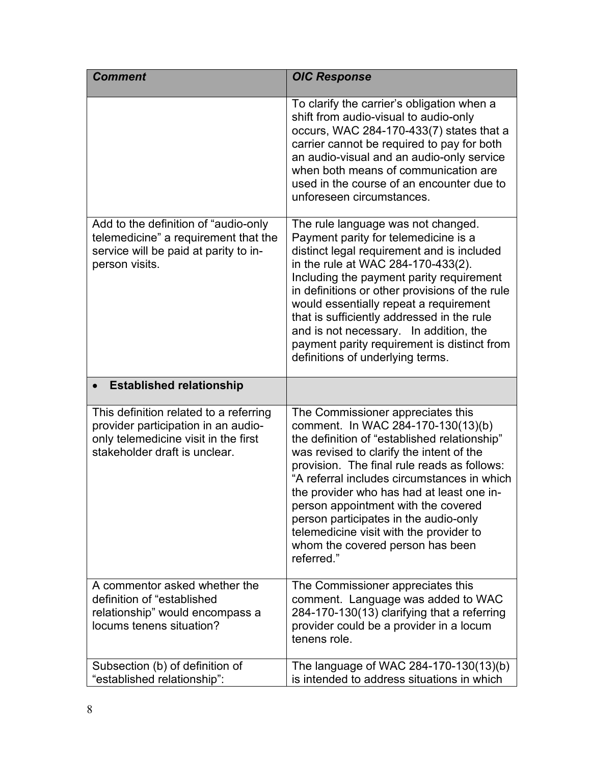| <b>Comment</b>                                                                                                                                         | <b>OIC Response</b>                                                                                                                                                                                                                                                                                                                                                                                                                                                                         |
|--------------------------------------------------------------------------------------------------------------------------------------------------------|---------------------------------------------------------------------------------------------------------------------------------------------------------------------------------------------------------------------------------------------------------------------------------------------------------------------------------------------------------------------------------------------------------------------------------------------------------------------------------------------|
|                                                                                                                                                        | To clarify the carrier's obligation when a<br>shift from audio-visual to audio-only<br>occurs, WAC 284-170-433(7) states that a<br>carrier cannot be required to pay for both<br>an audio-visual and an audio-only service<br>when both means of communication are<br>used in the course of an encounter due to<br>unforeseen circumstances.                                                                                                                                                |
| Add to the definition of "audio-only<br>telemedicine" a requirement that the<br>service will be paid at parity to in-<br>person visits.                | The rule language was not changed.<br>Payment parity for telemedicine is a<br>distinct legal requirement and is included<br>in the rule at WAC 284-170-433(2).<br>Including the payment parity requirement<br>in definitions or other provisions of the rule<br>would essentially repeat a requirement<br>that is sufficiently addressed in the rule<br>and is not necessary. In addition, the<br>payment parity requirement is distinct from<br>definitions of underlying terms.           |
| <b>Established relationship</b>                                                                                                                        |                                                                                                                                                                                                                                                                                                                                                                                                                                                                                             |
| This definition related to a referring<br>provider participation in an audio-<br>only telemedicine visit in the first<br>stakeholder draft is unclear. | The Commissioner appreciates this<br>comment. In WAC 284-170-130(13)(b)<br>the definition of "established relationship"<br>was revised to clarify the intent of the<br>provision. The final rule reads as follows:<br>"A referral includes circumstances in which<br>the provider who has had at least one in-<br>person appointment with the covered<br>person participates in the audio-only<br>telemedicine visit with the provider to<br>whom the covered person has been<br>referred." |
| A commentor asked whether the<br>definition of "established<br>relationship" would encompass a<br>locums tenens situation?                             | The Commissioner appreciates this<br>comment. Language was added to WAC<br>284-170-130(13) clarifying that a referring<br>provider could be a provider in a locum<br>tenens role.                                                                                                                                                                                                                                                                                                           |
| Subsection (b) of definition of<br>"established relationship":                                                                                         | The language of WAC 284-170-130(13)(b)<br>is intended to address situations in which                                                                                                                                                                                                                                                                                                                                                                                                        |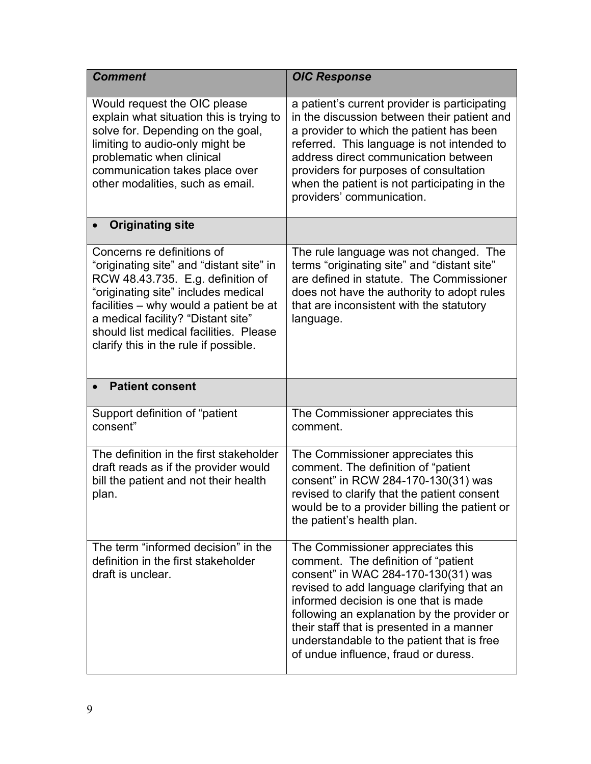| <b>Comment</b>                                                                                                                                                                                                                                                                                                        | <b>OIC Response</b>                                                                                                                                                                                                                                                                                                                                   |
|-----------------------------------------------------------------------------------------------------------------------------------------------------------------------------------------------------------------------------------------------------------------------------------------------------------------------|-------------------------------------------------------------------------------------------------------------------------------------------------------------------------------------------------------------------------------------------------------------------------------------------------------------------------------------------------------|
| Would request the OIC please<br>explain what situation this is trying to<br>solve for. Depending on the goal,<br>limiting to audio-only might be<br>problematic when clinical<br>communication takes place over<br>other modalities, such as email.                                                                   | a patient's current provider is participating<br>in the discussion between their patient and<br>a provider to which the patient has been<br>referred. This language is not intended to<br>address direct communication between<br>providers for purposes of consultation<br>when the patient is not participating in the<br>providers' communication. |
| <b>Originating site</b>                                                                                                                                                                                                                                                                                               |                                                                                                                                                                                                                                                                                                                                                       |
| Concerns re definitions of<br>"originating site" and "distant site" in<br>RCW 48.43.735. E.g. definition of<br>"originating site" includes medical<br>facilities – why would a patient be at<br>a medical facility? "Distant site"<br>should list medical facilities. Please<br>clarify this in the rule if possible. | The rule language was not changed. The<br>terms "originating site" and "distant site"<br>are defined in statute. The Commissioner<br>does not have the authority to adopt rules<br>that are inconsistent with the statutory<br>language.                                                                                                              |
| <b>Patient consent</b>                                                                                                                                                                                                                                                                                                |                                                                                                                                                                                                                                                                                                                                                       |
| Support definition of "patient<br>consent"                                                                                                                                                                                                                                                                            | The Commissioner appreciates this<br>comment.                                                                                                                                                                                                                                                                                                         |
|                                                                                                                                                                                                                                                                                                                       |                                                                                                                                                                                                                                                                                                                                                       |
| The definition in the first stakeholder<br>draft reads as if the provider would<br>bill the patient and not their health<br>plan.                                                                                                                                                                                     | The Commissioner appreciates this<br>comment. The definition of "patient<br>consent" in RCW 284-170-130(31) was<br>revised to clarify that the patient consent<br>would be to a provider billing the patient or<br>the patient's health plan.                                                                                                         |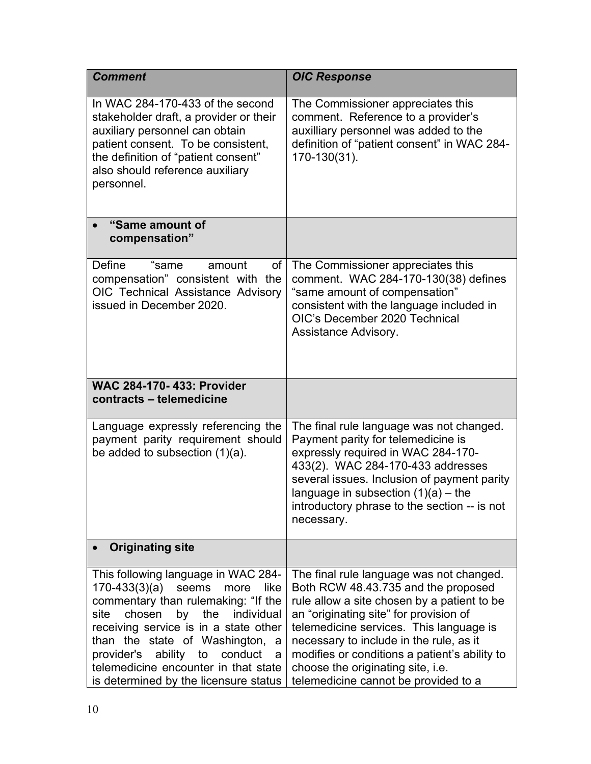| <b>Comment</b>                                                                                                                                                                                                                                                                                                                                                                    | <b>OIC Response</b>                                                                                                                                                                                                                                                                                                                                                                          |
|-----------------------------------------------------------------------------------------------------------------------------------------------------------------------------------------------------------------------------------------------------------------------------------------------------------------------------------------------------------------------------------|----------------------------------------------------------------------------------------------------------------------------------------------------------------------------------------------------------------------------------------------------------------------------------------------------------------------------------------------------------------------------------------------|
| In WAC 284-170-433 of the second<br>stakeholder draft, a provider or their<br>auxiliary personnel can obtain<br>patient consent. To be consistent,<br>the definition of "patient consent"<br>also should reference auxiliary<br>personnel.                                                                                                                                        | The Commissioner appreciates this<br>comment. Reference to a provider's<br>auxilliary personnel was added to the<br>definition of "patient consent" in WAC 284-<br>170-130(31).                                                                                                                                                                                                              |
| "Same amount of<br>compensation"                                                                                                                                                                                                                                                                                                                                                  |                                                                                                                                                                                                                                                                                                                                                                                              |
| Define<br>"same<br>of<br>amount<br>compensation" consistent with the<br>OIC Technical Assistance Advisory<br>issued in December 2020.                                                                                                                                                                                                                                             | The Commissioner appreciates this<br>comment. WAC 284-170-130(38) defines<br>"same amount of compensation"<br>consistent with the language included in<br>OIC's December 2020 Technical<br><b>Assistance Advisory.</b>                                                                                                                                                                       |
| <b>WAC 284-170-433: Provider</b><br>contracts - telemedicine                                                                                                                                                                                                                                                                                                                      |                                                                                                                                                                                                                                                                                                                                                                                              |
| Language expressly referencing the<br>payment parity requirement should<br>be added to subsection (1)(a).                                                                                                                                                                                                                                                                         | The final rule language was not changed.<br>Payment parity for telemedicine is<br>expressly required in WAC 284-170-<br>433(2). WAC 284-170-433 addresses<br>several issues. Inclusion of payment parity<br>language in subsection $(1)(a)$ – the<br>introductory phrase to the section -- is not<br>necessary.                                                                              |
| <b>Originating site</b>                                                                                                                                                                                                                                                                                                                                                           |                                                                                                                                                                                                                                                                                                                                                                                              |
| This following language in WAC 284-<br>$170 - 433(3)(a)$<br>seems<br>like<br>more<br>commentary than rulemaking: "If the<br>chosen<br>by<br>the<br>individual<br>site<br>receiving service is in a state other<br>than the state of Washington, a<br>ability<br>provider's<br>to<br>conduct<br>a<br>telemedicine encounter in that state<br>is determined by the licensure status | The final rule language was not changed.<br>Both RCW 48.43.735 and the proposed<br>rule allow a site chosen by a patient to be<br>an "originating site" for provision of<br>telemedicine services. This language is<br>necessary to include in the rule, as it<br>modifies or conditions a patient's ability to<br>choose the originating site, i.e.<br>telemedicine cannot be provided to a |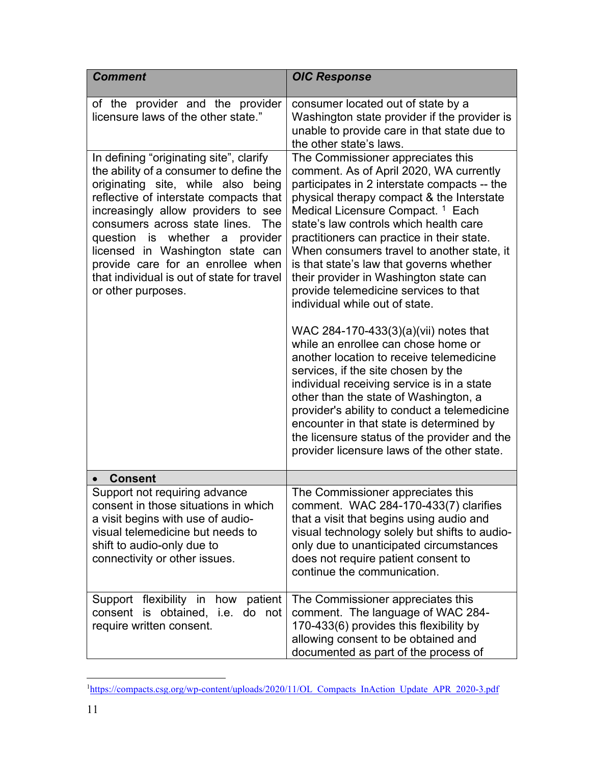| <b>Comment</b>                                                                                                                                                                                                                                                                                                                                                                                                                | <b>OIC Response</b>                                                                                                                                                                                                                                                                                                                                                                                                                                                                                                                                                                                                                                                                                                                                                                                                                                                                                                                                                                   |
|-------------------------------------------------------------------------------------------------------------------------------------------------------------------------------------------------------------------------------------------------------------------------------------------------------------------------------------------------------------------------------------------------------------------------------|---------------------------------------------------------------------------------------------------------------------------------------------------------------------------------------------------------------------------------------------------------------------------------------------------------------------------------------------------------------------------------------------------------------------------------------------------------------------------------------------------------------------------------------------------------------------------------------------------------------------------------------------------------------------------------------------------------------------------------------------------------------------------------------------------------------------------------------------------------------------------------------------------------------------------------------------------------------------------------------|
| of the provider and the provider<br>licensure laws of the other state."                                                                                                                                                                                                                                                                                                                                                       | consumer located out of state by a<br>Washington state provider if the provider is<br>unable to provide care in that state due to<br>the other state's laws.                                                                                                                                                                                                                                                                                                                                                                                                                                                                                                                                                                                                                                                                                                                                                                                                                          |
| In defining "originating site", clarify<br>the ability of a consumer to define the<br>originating site, while also being<br>reflective of interstate compacts that<br>increasingly allow providers to see<br>consumers across state lines. The<br>question is whether a provider<br>licensed in Washington state can<br>provide care for an enrollee when<br>that individual is out of state for travel<br>or other purposes. | The Commissioner appreciates this<br>comment. As of April 2020, WA currently<br>participates in 2 interstate compacts -- the<br>physical therapy compact & the Interstate<br>Medical Licensure Compact. <sup>1</sup> Each<br>state's law controls which health care<br>practitioners can practice in their state.<br>When consumers travel to another state, it<br>is that state's law that governs whether<br>their provider in Washington state can<br>provide telemedicine services to that<br>individual while out of state.<br>WAC 284-170-433(3)(a)(vii) notes that<br>while an enrollee can chose home or<br>another location to receive telemedicine<br>services, if the site chosen by the<br>individual receiving service is in a state<br>other than the state of Washington, a<br>provider's ability to conduct a telemedicine<br>encounter in that state is determined by<br>the licensure status of the provider and the<br>provider licensure laws of the other state. |
|                                                                                                                                                                                                                                                                                                                                                                                                                               |                                                                                                                                                                                                                                                                                                                                                                                                                                                                                                                                                                                                                                                                                                                                                                                                                                                                                                                                                                                       |
| <b>Consent</b><br>Support not requiring advance<br>consent in those situations in which<br>a visit begins with use of audio-<br>visual telemedicine but needs to<br>shift to audio-only due to<br>connectivity or other issues.                                                                                                                                                                                               | The Commissioner appreciates this<br>comment. WAC 284-170-433(7) clarifies<br>that a visit that begins using audio and<br>visual technology solely but shifts to audio-<br>only due to unanticipated circumstances<br>does not require patient consent to<br>continue the communication.                                                                                                                                                                                                                                                                                                                                                                                                                                                                                                                                                                                                                                                                                              |
| Support flexibility in how patient<br>consent is obtained, i.e. do not<br>require written consent.                                                                                                                                                                                                                                                                                                                            | The Commissioner appreciates this<br>comment. The language of WAC 284-<br>170-433(6) provides this flexibility by<br>allowing consent to be obtained and<br>documented as part of the process of                                                                                                                                                                                                                                                                                                                                                                                                                                                                                                                                                                                                                                                                                                                                                                                      |

<span id="page-10-0"></span><sup>&</sup>lt;sup>1</sup>https://compacts.csg.org/wp-content/uploads/2020/11/OL\_Compacts\_InAction\_Update\_APR\_2020-3.pdf<br>11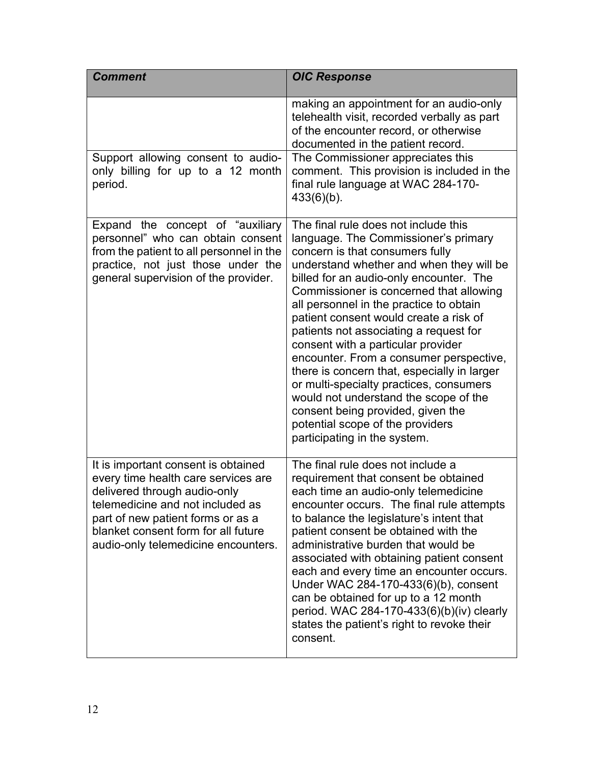| <b>Comment</b>                                                                                                                                                                                                                                                    | <b>OIC Response</b>                                                                                                                                                                                                                                                                                                                                                                                                                                                                                                                                                                                                                                                                                           |
|-------------------------------------------------------------------------------------------------------------------------------------------------------------------------------------------------------------------------------------------------------------------|---------------------------------------------------------------------------------------------------------------------------------------------------------------------------------------------------------------------------------------------------------------------------------------------------------------------------------------------------------------------------------------------------------------------------------------------------------------------------------------------------------------------------------------------------------------------------------------------------------------------------------------------------------------------------------------------------------------|
|                                                                                                                                                                                                                                                                   | making an appointment for an audio-only<br>telehealth visit, recorded verbally as part<br>of the encounter record, or otherwise<br>documented in the patient record.                                                                                                                                                                                                                                                                                                                                                                                                                                                                                                                                          |
| Support allowing consent to audio-<br>only billing for up to a 12 month<br>period.                                                                                                                                                                                | The Commissioner appreciates this<br>comment. This provision is included in the<br>final rule language at WAC 284-170-<br>$433(6)(b)$ .                                                                                                                                                                                                                                                                                                                                                                                                                                                                                                                                                                       |
| Expand the concept of "auxiliary<br>personnel" who can obtain consent<br>from the patient to all personnel in the<br>practice, not just those under the<br>general supervision of the provider.                                                                   | The final rule does not include this<br>language. The Commissioner's primary<br>concern is that consumers fully<br>understand whether and when they will be<br>billed for an audio-only encounter. The<br>Commissioner is concerned that allowing<br>all personnel in the practice to obtain<br>patient consent would create a risk of<br>patients not associating a request for<br>consent with a particular provider<br>encounter. From a consumer perspective,<br>there is concern that, especially in larger<br>or multi-specialty practices, consumers<br>would not understand the scope of the<br>consent being provided, given the<br>potential scope of the providers<br>participating in the system. |
| It is important consent is obtained<br>every time health care services are<br>delivered through audio-only<br>telemedicine and not included as<br>part of new patient forms or as a<br>blanket consent form for all future<br>audio-only telemedicine encounters. | The final rule does not include a<br>requirement that consent be obtained<br>each time an audio-only telemedicine<br>encounter occurs. The final rule attempts<br>to balance the legislature's intent that<br>patient consent be obtained with the<br>administrative burden that would be<br>associated with obtaining patient consent<br>each and every time an encounter occurs.<br>Under WAC 284-170-433(6)(b), consent<br>can be obtained for up to a 12 month<br>period. WAC 284-170-433(6)(b)(iv) clearly<br>states the patient's right to revoke their<br>consent.                                                                                                                                     |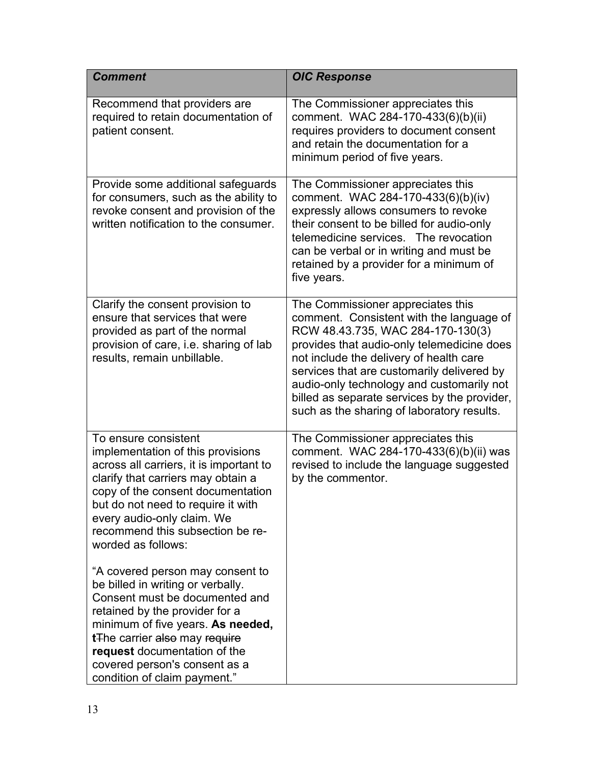| <b>Comment</b>                                                                                                                                                                                                                                                                                                               | <b>OIC Response</b>                                                                                                                                                                                                                                                                                                                                                                                  |
|------------------------------------------------------------------------------------------------------------------------------------------------------------------------------------------------------------------------------------------------------------------------------------------------------------------------------|------------------------------------------------------------------------------------------------------------------------------------------------------------------------------------------------------------------------------------------------------------------------------------------------------------------------------------------------------------------------------------------------------|
| Recommend that providers are<br>required to retain documentation of<br>patient consent.                                                                                                                                                                                                                                      | The Commissioner appreciates this<br>comment. WAC 284-170-433(6)(b)(ii)<br>requires providers to document consent<br>and retain the documentation for a<br>minimum period of five years.                                                                                                                                                                                                             |
| Provide some additional safeguards<br>for consumers, such as the ability to<br>revoke consent and provision of the<br>written notification to the consumer.                                                                                                                                                                  | The Commissioner appreciates this<br>comment. WAC 284-170-433(6)(b)(iv)<br>expressly allows consumers to revoke<br>their consent to be billed for audio-only<br>telemedicine services. The revocation<br>can be verbal or in writing and must be<br>retained by a provider for a minimum of<br>five years.                                                                                           |
| Clarify the consent provision to<br>ensure that services that were<br>provided as part of the normal<br>provision of care, i.e. sharing of lab<br>results, remain unbillable.                                                                                                                                                | The Commissioner appreciates this<br>comment. Consistent with the language of<br>RCW 48.43.735, WAC 284-170-130(3)<br>provides that audio-only telemedicine does<br>not include the delivery of health care<br>services that are customarily delivered by<br>audio-only technology and customarily not<br>billed as separate services by the provider,<br>such as the sharing of laboratory results. |
| To ensure consistent<br>implementation of this provisions<br>across all carriers, it is important to<br>clarify that carriers may obtain a<br>copy of the consent documentation<br>but do not need to require it with<br>every audio-only claim. We<br>recommend this subsection be re-<br>worded as follows:                | The Commissioner appreciates this<br>comment. WAC 284-170-433(6)(b)(ii) was<br>revised to include the language suggested<br>by the commentor.                                                                                                                                                                                                                                                        |
| "A covered person may consent to<br>be billed in writing or verbally.<br>Consent must be documented and<br>retained by the provider for a<br>minimum of five years. As needed,<br>t <sub>The carrier also may require</sub><br>request documentation of the<br>covered person's consent as a<br>condition of claim payment." |                                                                                                                                                                                                                                                                                                                                                                                                      |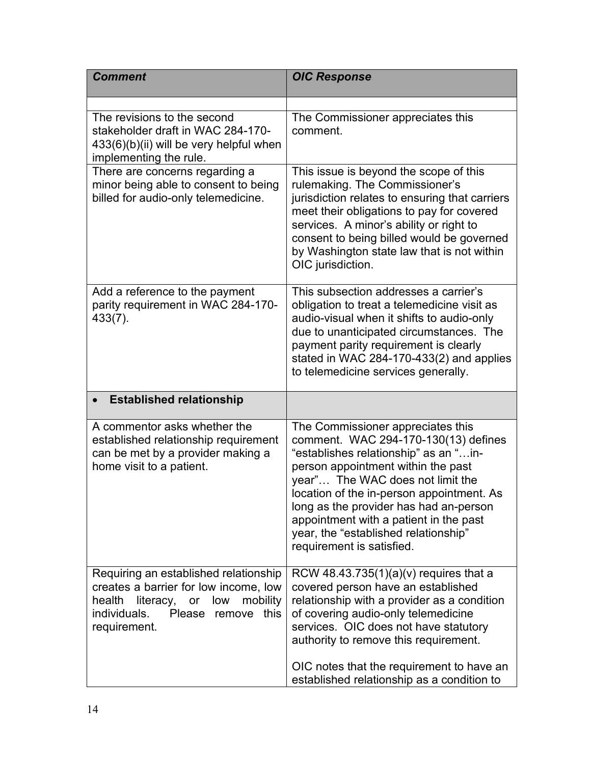| <b>Comment</b>                                                                                                                                                                          | <b>OIC Response</b>                                                                                                                                                                                                                                                                                                                                                                                |
|-----------------------------------------------------------------------------------------------------------------------------------------------------------------------------------------|----------------------------------------------------------------------------------------------------------------------------------------------------------------------------------------------------------------------------------------------------------------------------------------------------------------------------------------------------------------------------------------------------|
|                                                                                                                                                                                         |                                                                                                                                                                                                                                                                                                                                                                                                    |
| The revisions to the second<br>stakeholder draft in WAC 284-170-<br>433(6)(b)(ii) will be very helpful when<br>implementing the rule.                                                   | The Commissioner appreciates this<br>comment.                                                                                                                                                                                                                                                                                                                                                      |
| There are concerns regarding a<br>minor being able to consent to being<br>billed for audio-only telemedicine.                                                                           | This issue is beyond the scope of this<br>rulemaking. The Commissioner's<br>jurisdiction relates to ensuring that carriers<br>meet their obligations to pay for covered<br>services. A minor's ability or right to<br>consent to being billed would be governed<br>by Washington state law that is not within<br>OIC jurisdiction.                                                                 |
| Add a reference to the payment<br>parity requirement in WAC 284-170-<br>$433(7)$ .                                                                                                      | This subsection addresses a carrier's<br>obligation to treat a telemedicine visit as<br>audio-visual when it shifts to audio-only<br>due to unanticipated circumstances. The<br>payment parity requirement is clearly<br>stated in WAC 284-170-433(2) and applies<br>to telemedicine services generally.                                                                                           |
| <b>Established relationship</b>                                                                                                                                                         |                                                                                                                                                                                                                                                                                                                                                                                                    |
| A commentor asks whether the<br>established relationship requirement<br>can be met by a provider making a<br>home visit to a patient.                                                   | The Commissioner appreciates this<br>comment. WAC 294-170-130(13) defines<br>"establishes relationship" as an "in-<br>person appointment within the past<br>year" The WAC does not limit the<br>location of the in-person appointment. As<br>long as the provider has had an-person<br>appointment with a patient in the past<br>year, the "established relationship"<br>requirement is satisfied. |
| Requiring an established relationship<br>creates a barrier for low income, low<br>health<br>literacy, or<br>low<br>mobility<br>individuals.<br>Please<br>this<br>remove<br>requirement. | RCW 48.43.735(1)(a)(v) requires that a<br>covered person have an established<br>relationship with a provider as a condition<br>of covering audio-only telemedicine<br>services. OIC does not have statutory<br>authority to remove this requirement.<br>OIC notes that the requirement to have an<br>established relationship as a condition to                                                    |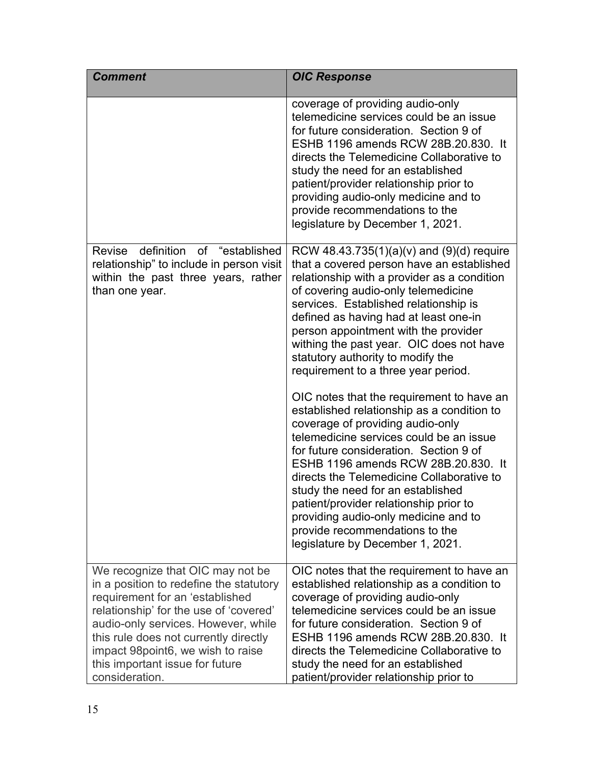| <b>Comment</b>                                                                                                                                                                                                                                                                                                                       | <b>OIC Response</b>                                                                                                                                                                                                                                                                                                                                                                                                                                                                                                                                                                                                                                                                                                                                                                                                                                                                                                                 |
|--------------------------------------------------------------------------------------------------------------------------------------------------------------------------------------------------------------------------------------------------------------------------------------------------------------------------------------|-------------------------------------------------------------------------------------------------------------------------------------------------------------------------------------------------------------------------------------------------------------------------------------------------------------------------------------------------------------------------------------------------------------------------------------------------------------------------------------------------------------------------------------------------------------------------------------------------------------------------------------------------------------------------------------------------------------------------------------------------------------------------------------------------------------------------------------------------------------------------------------------------------------------------------------|
|                                                                                                                                                                                                                                                                                                                                      | coverage of providing audio-only<br>telemedicine services could be an issue<br>for future consideration. Section 9 of<br>ESHB 1196 amends RCW 28B.20.830. It<br>directs the Telemedicine Collaborative to<br>study the need for an established<br>patient/provider relationship prior to<br>providing audio-only medicine and to<br>provide recommendations to the<br>legislature by December 1, 2021.                                                                                                                                                                                                                                                                                                                                                                                                                                                                                                                              |
| definition of "established<br>Revise<br>relationship" to include in person visit<br>within the past three years, rather<br>than one year.                                                                                                                                                                                            | RCW 48.43.735(1)(a)(v) and (9)(d) require<br>that a covered person have an established<br>relationship with a provider as a condition<br>of covering audio-only telemedicine<br>services. Established relationship is<br>defined as having had at least one-in<br>person appointment with the provider<br>withing the past year. OIC does not have<br>statutory authority to modify the<br>requirement to a three year period.<br>OIC notes that the requirement to have an<br>established relationship as a condition to<br>coverage of providing audio-only<br>telemedicine services could be an issue<br>for future consideration. Section 9 of<br>ESHB 1196 amends RCW 28B.20.830. It<br>directs the Telemedicine Collaborative to<br>study the need for an established<br>patient/provider relationship prior to<br>providing audio-only medicine and to<br>provide recommendations to the<br>legislature by December 1, 2021. |
| We recognize that OIC may not be<br>in a position to redefine the statutory<br>requirement for an 'established<br>relationship' for the use of 'covered'<br>audio-only services. However, while<br>this rule does not currently directly<br>impact 98 point 6, we wish to raise<br>this important issue for future<br>consideration. | OIC notes that the requirement to have an<br>established relationship as a condition to<br>coverage of providing audio-only<br>telemedicine services could be an issue<br>for future consideration. Section 9 of<br>ESHB 1196 amends RCW 28B.20.830. It<br>directs the Telemedicine Collaborative to<br>study the need for an established<br>patient/provider relationship prior to                                                                                                                                                                                                                                                                                                                                                                                                                                                                                                                                                 |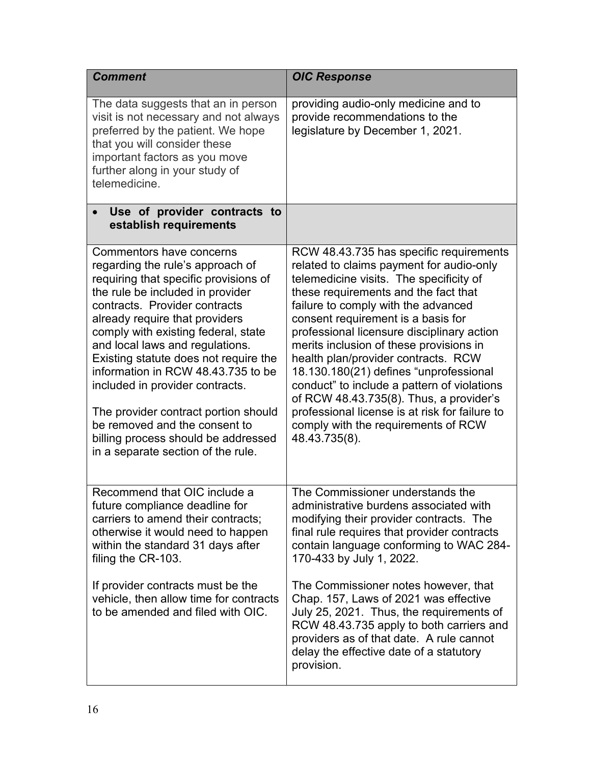| <b>Comment</b>                                                                                                                                                                                                                                                                                                                                                                                                                                                                                                                                                 | <b>OIC Response</b>                                                                                                                                                                                                                                                                                                                                                                                                                                                                                                                                                                                                               |
|----------------------------------------------------------------------------------------------------------------------------------------------------------------------------------------------------------------------------------------------------------------------------------------------------------------------------------------------------------------------------------------------------------------------------------------------------------------------------------------------------------------------------------------------------------------|-----------------------------------------------------------------------------------------------------------------------------------------------------------------------------------------------------------------------------------------------------------------------------------------------------------------------------------------------------------------------------------------------------------------------------------------------------------------------------------------------------------------------------------------------------------------------------------------------------------------------------------|
| The data suggests that an in person<br>visit is not necessary and not always<br>preferred by the patient. We hope<br>that you will consider these<br>important factors as you move<br>further along in your study of<br>telemedicine.                                                                                                                                                                                                                                                                                                                          | providing audio-only medicine and to<br>provide recommendations to the<br>legislature by December 1, 2021.                                                                                                                                                                                                                                                                                                                                                                                                                                                                                                                        |
| Use of provider contracts to<br>$\bullet$<br>establish requirements                                                                                                                                                                                                                                                                                                                                                                                                                                                                                            |                                                                                                                                                                                                                                                                                                                                                                                                                                                                                                                                                                                                                                   |
| Commentors have concerns<br>regarding the rule's approach of<br>requiring that specific provisions of<br>the rule be included in provider<br>contracts. Provider contracts<br>already require that providers<br>comply with existing federal, state<br>and local laws and regulations.<br>Existing statute does not require the<br>information in RCW 48.43.735 to be<br>included in provider contracts.<br>The provider contract portion should<br>be removed and the consent to<br>billing process should be addressed<br>in a separate section of the rule. | RCW 48.43.735 has specific requirements<br>related to claims payment for audio-only<br>telemedicine visits. The specificity of<br>these requirements and the fact that<br>failure to comply with the advanced<br>consent requirement is a basis for<br>professional licensure disciplinary action<br>merits inclusion of these provisions in<br>health plan/provider contracts. RCW<br>18.130.180(21) defines "unprofessional<br>conduct" to include a pattern of violations<br>of RCW 48.43.735(8). Thus, a provider's<br>professional license is at risk for failure to<br>comply with the requirements of RCW<br>48.43.735(8). |
| Recommend that OIC include a<br>future compliance deadline for<br>carriers to amend their contracts;<br>otherwise it would need to happen<br>within the standard 31 days after<br>filing the CR-103.                                                                                                                                                                                                                                                                                                                                                           | The Commissioner understands the<br>administrative burdens associated with<br>modifying their provider contracts. The<br>final rule requires that provider contracts<br>contain language conforming to WAC 284-<br>170-433 by July 1, 2022.                                                                                                                                                                                                                                                                                                                                                                                       |
| If provider contracts must be the<br>vehicle, then allow time for contracts<br>to be amended and filed with OIC.                                                                                                                                                                                                                                                                                                                                                                                                                                               | The Commissioner notes however, that<br>Chap. 157, Laws of 2021 was effective<br>July 25, 2021. Thus, the requirements of<br>RCW 48.43.735 apply to both carriers and<br>providers as of that date. A rule cannot<br>delay the effective date of a statutory<br>provision.                                                                                                                                                                                                                                                                                                                                                        |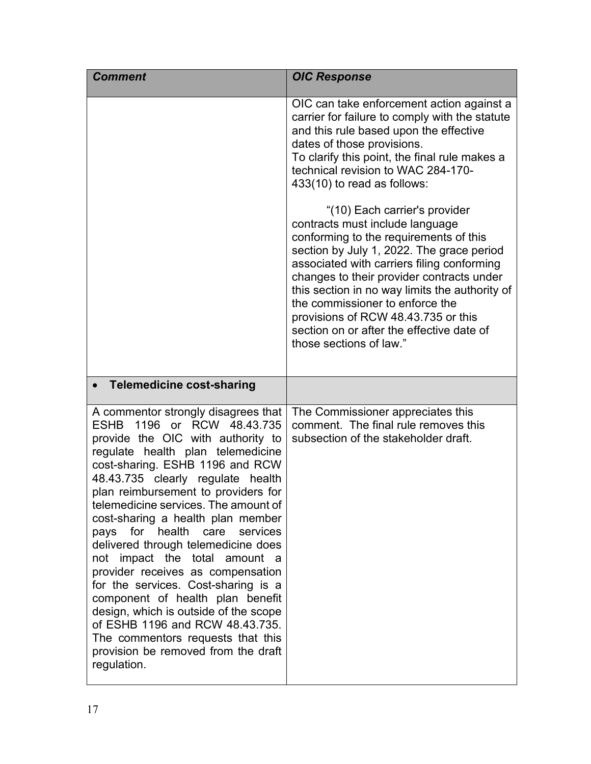| <b>Comment</b>                                                                                                                                                                                                                                                                                                                                                                                                                                                                                                                                                                                                                                                                                                                                   | <b>OIC Response</b>                                                                                                                                                                                                                                                                                                                                                                                                                                    |
|--------------------------------------------------------------------------------------------------------------------------------------------------------------------------------------------------------------------------------------------------------------------------------------------------------------------------------------------------------------------------------------------------------------------------------------------------------------------------------------------------------------------------------------------------------------------------------------------------------------------------------------------------------------------------------------------------------------------------------------------------|--------------------------------------------------------------------------------------------------------------------------------------------------------------------------------------------------------------------------------------------------------------------------------------------------------------------------------------------------------------------------------------------------------------------------------------------------------|
|                                                                                                                                                                                                                                                                                                                                                                                                                                                                                                                                                                                                                                                                                                                                                  | OIC can take enforcement action against a<br>carrier for failure to comply with the statute<br>and this rule based upon the effective<br>dates of those provisions.<br>To clarify this point, the final rule makes a<br>technical revision to WAC 284-170-<br>433(10) to read as follows:                                                                                                                                                              |
|                                                                                                                                                                                                                                                                                                                                                                                                                                                                                                                                                                                                                                                                                                                                                  | "(10) Each carrier's provider<br>contracts must include language<br>conforming to the requirements of this<br>section by July 1, 2022. The grace period<br>associated with carriers filing conforming<br>changes to their provider contracts under<br>this section in no way limits the authority of<br>the commissioner to enforce the<br>provisions of RCW 48.43.735 or this<br>section on or after the effective date of<br>those sections of law." |
| <b>Telemedicine cost-sharing</b>                                                                                                                                                                                                                                                                                                                                                                                                                                                                                                                                                                                                                                                                                                                 |                                                                                                                                                                                                                                                                                                                                                                                                                                                        |
| A commentor strongly disagrees that<br>1196 or RCW 48.43.735<br>ESHB<br>provide the OIC with authority to<br>regulate health plan telemedicine<br>cost-sharing. ESHB 1196 and RCW<br>48.43.735 clearly regulate health<br>plan reimbursement to providers for<br>telemedicine services. The amount of<br>cost-sharing a health plan member<br>pays for health<br>care<br>services<br>delivered through telemedicine does<br>not impact the total amount a<br>provider receives as compensation<br>for the services. Cost-sharing is a<br>component of health plan benefit<br>design, which is outside of the scope<br>of ESHB 1196 and RCW 48.43.735.<br>The commentors requests that this<br>provision be removed from the draft<br>regulation. | The Commissioner appreciates this<br>comment. The final rule removes this<br>subsection of the stakeholder draft.                                                                                                                                                                                                                                                                                                                                      |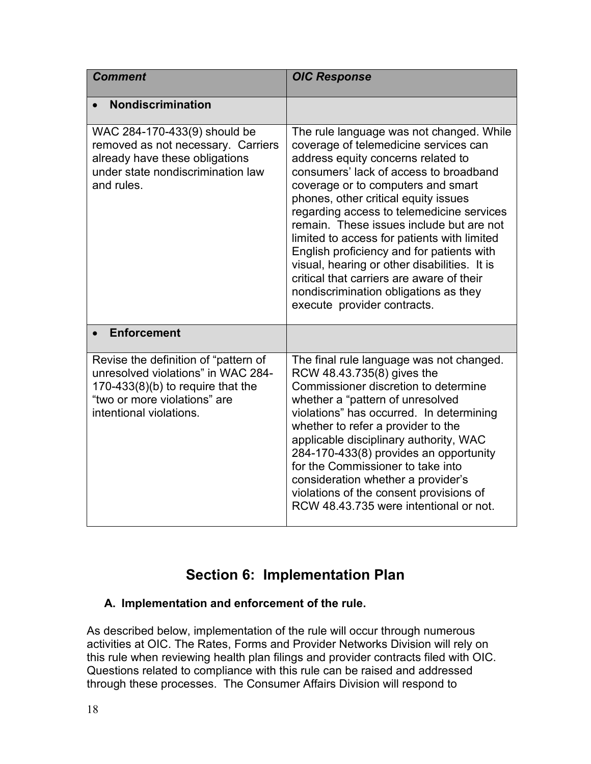| <b>Comment</b>                                                                                                                                                             | <b>OIC Response</b>                                                                                                                                                                                                                                                                                                                                                                                                                                                                                                                                                                                       |
|----------------------------------------------------------------------------------------------------------------------------------------------------------------------------|-----------------------------------------------------------------------------------------------------------------------------------------------------------------------------------------------------------------------------------------------------------------------------------------------------------------------------------------------------------------------------------------------------------------------------------------------------------------------------------------------------------------------------------------------------------------------------------------------------------|
| <b>Nondiscrimination</b>                                                                                                                                                   |                                                                                                                                                                                                                                                                                                                                                                                                                                                                                                                                                                                                           |
| WAC 284-170-433(9) should be<br>removed as not necessary. Carriers<br>already have these obligations<br>under state nondiscrimination law<br>and rules.                    | The rule language was not changed. While<br>coverage of telemedicine services can<br>address equity concerns related to<br>consumers' lack of access to broadband<br>coverage or to computers and smart<br>phones, other critical equity issues<br>regarding access to telemedicine services<br>remain. These issues include but are not<br>limited to access for patients with limited<br>English proficiency and for patients with<br>visual, hearing or other disabilities. It is<br>critical that carriers are aware of their<br>nondiscrimination obligations as they<br>execute provider contracts. |
| <b>Enforcement</b>                                                                                                                                                         |                                                                                                                                                                                                                                                                                                                                                                                                                                                                                                                                                                                                           |
| Revise the definition of "pattern of<br>unresolved violations" in WAC 284-<br>170-433(8)(b) to require that the<br>"two or more violations" are<br>intentional violations. | The final rule language was not changed.<br>RCW 48.43.735(8) gives the<br>Commissioner discretion to determine<br>whether a "pattern of unresolved<br>violations" has occurred. In determining<br>whether to refer a provider to the<br>applicable disciplinary authority, WAC<br>284-170-433(8) provides an opportunity<br>for the Commissioner to take into<br>consideration whether a provider's<br>violations of the consent provisions of<br>RCW 48.43.735 were intentional or not.                                                                                                                  |

## **Section 6: Implementation Plan**

#### **A. Implementation and enforcement of the rule.**

As described below, implementation of the rule will occur through numerous activities at OIC. The Rates, Forms and Provider Networks Division will rely on this rule when reviewing health plan filings and provider contracts filed with OIC. Questions related to compliance with this rule can be raised and addressed through these processes. The Consumer Affairs Division will respond to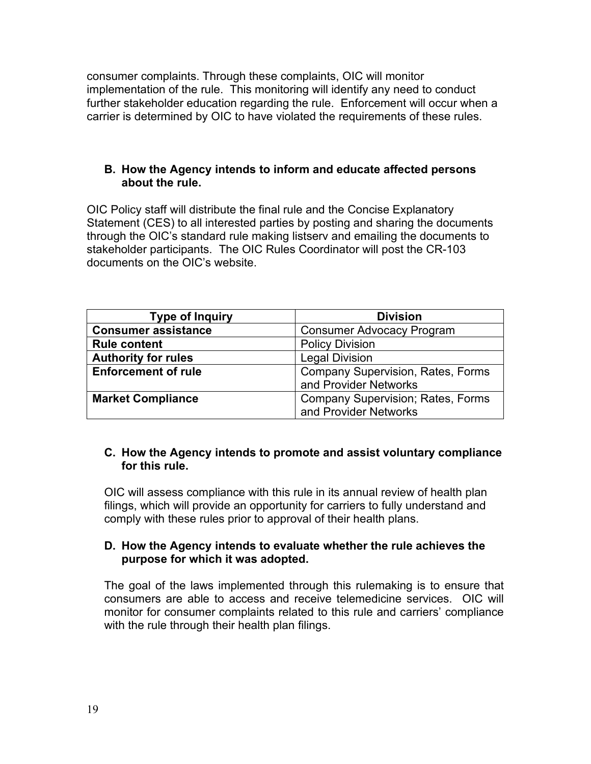consumer complaints. Through these complaints, OIC will monitor implementation of the rule. This monitoring will identify any need to conduct further stakeholder education regarding the rule. Enforcement will occur when a carrier is determined by OIC to have violated the requirements of these rules.

#### **B. How the Agency intends to inform and educate affected persons about the rule.**

OIC Policy staff will distribute the final rule and the Concise Explanatory Statement (CES) to all interested parties by posting and sharing the documents through the OIC's standard rule making listserv and emailing the documents to stakeholder participants. The OIC Rules Coordinator will post the CR-103 documents on the OIC's website.

| Type of Inquiry            | <b>Division</b>                          |
|----------------------------|------------------------------------------|
| <b>Consumer assistance</b> | <b>Consumer Advocacy Program</b>         |
| <b>Rule content</b>        | <b>Policy Division</b>                   |
| <b>Authority for rules</b> | <b>Legal Division</b>                    |
| <b>Enforcement of rule</b> | <b>Company Supervision, Rates, Forms</b> |
|                            | and Provider Networks                    |
| <b>Market Compliance</b>   | <b>Company Supervision; Rates, Forms</b> |
|                            | and Provider Networks                    |

#### **C. How the Agency intends to promote and assist voluntary compliance for this rule.**

 OIC will assess compliance with this rule in its annual review of health plan comply with these rules prior to approval of their health plans. filings, which will provide an opportunity for carriers to fully understand and

#### **D. How the Agency intends to evaluate whether the rule achieves the purpose for which it was adopted.**

 with the rule through their health plan filings. The goal of the laws implemented through this rulemaking is to ensure that consumers are able to access and receive telemedicine services. OIC will monitor for consumer complaints related to this rule and carriers' compliance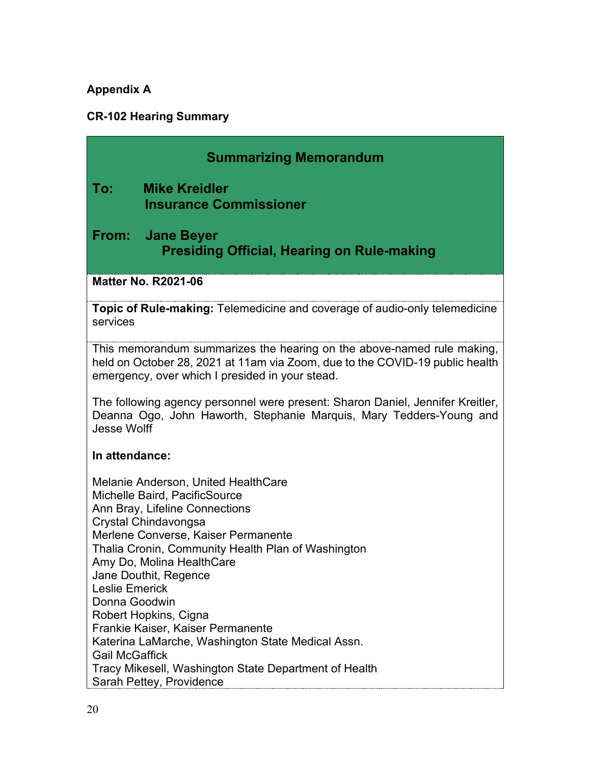## **Appendix A**

# **CR-102 Hearing Summary**

| <b>Summarizing Memorandum</b>                                                                                                                                                                                                                                                                                                                                                                                                                                                                                                                                |                                                                                                                                                       |  |
|--------------------------------------------------------------------------------------------------------------------------------------------------------------------------------------------------------------------------------------------------------------------------------------------------------------------------------------------------------------------------------------------------------------------------------------------------------------------------------------------------------------------------------------------------------------|-------------------------------------------------------------------------------------------------------------------------------------------------------|--|
| To:                                                                                                                                                                                                                                                                                                                                                                                                                                                                                                                                                          | <b>Mike Kreidler</b><br><b>Insurance Commissioner</b>                                                                                                 |  |
|                                                                                                                                                                                                                                                                                                                                                                                                                                                                                                                                                              | From: Jane Beyer<br><b>Presiding Official, Hearing on Rule-making</b>                                                                                 |  |
| <b>Matter No. R2021-06</b>                                                                                                                                                                                                                                                                                                                                                                                                                                                                                                                                   |                                                                                                                                                       |  |
| services                                                                                                                                                                                                                                                                                                                                                                                                                                                                                                                                                     | Topic of Rule-making: Telemedicine and coverage of audio-only telemedicine                                                                            |  |
| This memorandum summarizes the hearing on the above-named rule making,<br>held on October 28, 2021 at 11am via Zoom, due to the COVID-19 public health<br>emergency, over which I presided in your stead.                                                                                                                                                                                                                                                                                                                                                    |                                                                                                                                                       |  |
| <b>Jesse Wolff</b>                                                                                                                                                                                                                                                                                                                                                                                                                                                                                                                                           | The following agency personnel were present: Sharon Daniel, Jennifer Kreitler,<br>Deanna Ogo, John Haworth, Stephanie Marquis, Mary Tedders-Young and |  |
| In attendance:                                                                                                                                                                                                                                                                                                                                                                                                                                                                                                                                               |                                                                                                                                                       |  |
| <b>Melanie Anderson, United HealthCare</b><br>Michelle Baird, PacificSource<br>Ann Bray, Lifeline Connections<br>Crystal Chindavongsa<br>Merlene Converse, Kaiser Permanente<br>Thalia Cronin, Community Health Plan of Washington<br>Amy Do, Molina HealthCare<br>Jane Douthit, Regence<br>Leslie Emerick<br>Donna Goodwin<br>Robert Hopkins, Cigna<br>Frankie Kaiser, Kaiser Permanente<br>Katerina LaMarche, Washington State Medical Assn.<br><b>Gail McGaffick</b><br>Tracy Mikesell, Washington State Department of Health<br>Sarah Pettey, Providence |                                                                                                                                                       |  |